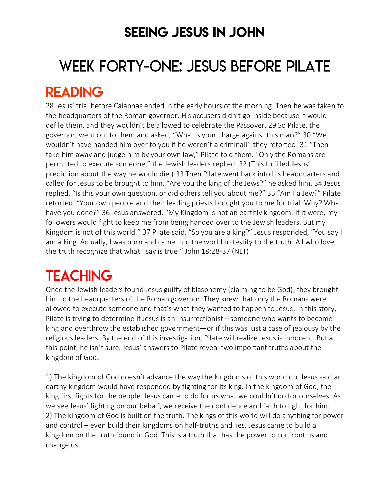### SEEING JESUS IN JOHN

# WEEK FORTY-ONE: JESUS BEFORE PILATE

# READING

28 Jesus' trial before Caiaphas ended in the early hours of the morning. Then he was taken to the headquarters of the Roman governor. His accusers didn't go inside because it would defile them, and they wouldn't be allowed to celebrate the Passover. 29 So Pilate, the governor, went out to them and asked, "What is your charge against this man?" 30 "We wouldn't have handed him over to you if he weren't a criminal!" they retorted. 31 "Then take him away and judge him by your own law," Pilate told them. "Only the Romans are permitted to execute someone," the Jewish leaders replied. 32 (This fulfilled Jesus' prediction about the way he would die.) 33 Then Pilate went back into his headquarters and called for Jesus to be brought to him. "Are you the king of the Jews?" he asked him. 34 Jesus replied, "Is this your own question, or did others tell you about me?" 35 "Am I a Jew?" Pilate retorted. "Your own people and their leading priests brought you to me for trial. Why? What have you done?" 36 Jesus answered, "My Kingdom is not an earthly kingdom. If it were, my followers would fight to keep me from being handed over to the Jewish leaders. But my Kingdom is not of this world." 37 Pilate said, "So you are a king?" Jesus responded, "You say I am a king. Actually, I was born and came into the world to testify to the truth. All who love the truth recognize that what I say is true." John 18:28-37 (NLT)

# **TEACHING**

Once the Jewish leaders found Jesus guilty of blasphemy (claiming to be God), they brought him to the headquarters of the Roman governor. They knew that only the Romans were allowed to execute someone and that's what they wanted to happen to Jesus. In this story, Pilate is trying to determine if Jesus is an insurrectionist—someone who wants to become king and overthrow the established government—or if this was just a case of jealousy by the religious leaders. By the end of this investigation, Pilate will realize Jesus is innocent. But at this point, he isn't sure. Jesus' answers to Pilate reveal two important truths about the kingdom of God.

1) The kingdom of God doesn't advance the way the kingdoms of this world do. Jesus said an earthy kingdom would have responded by fighting for its king. In the kingdom of God, the king first fights for the people. Jesus came to do for us what we couldn't do for ourselves. As we see Jesus' fighting on our behalf, we receive the confidence and faith to fight for him. 2) The kingdom of God is built on the truth. The kings of this world will do anything for power and control – even build their kingdoms on half-truths and lies. Jesus came to build a kingdom on the truth found in God. This is a truth that has the power to confront us and change us.